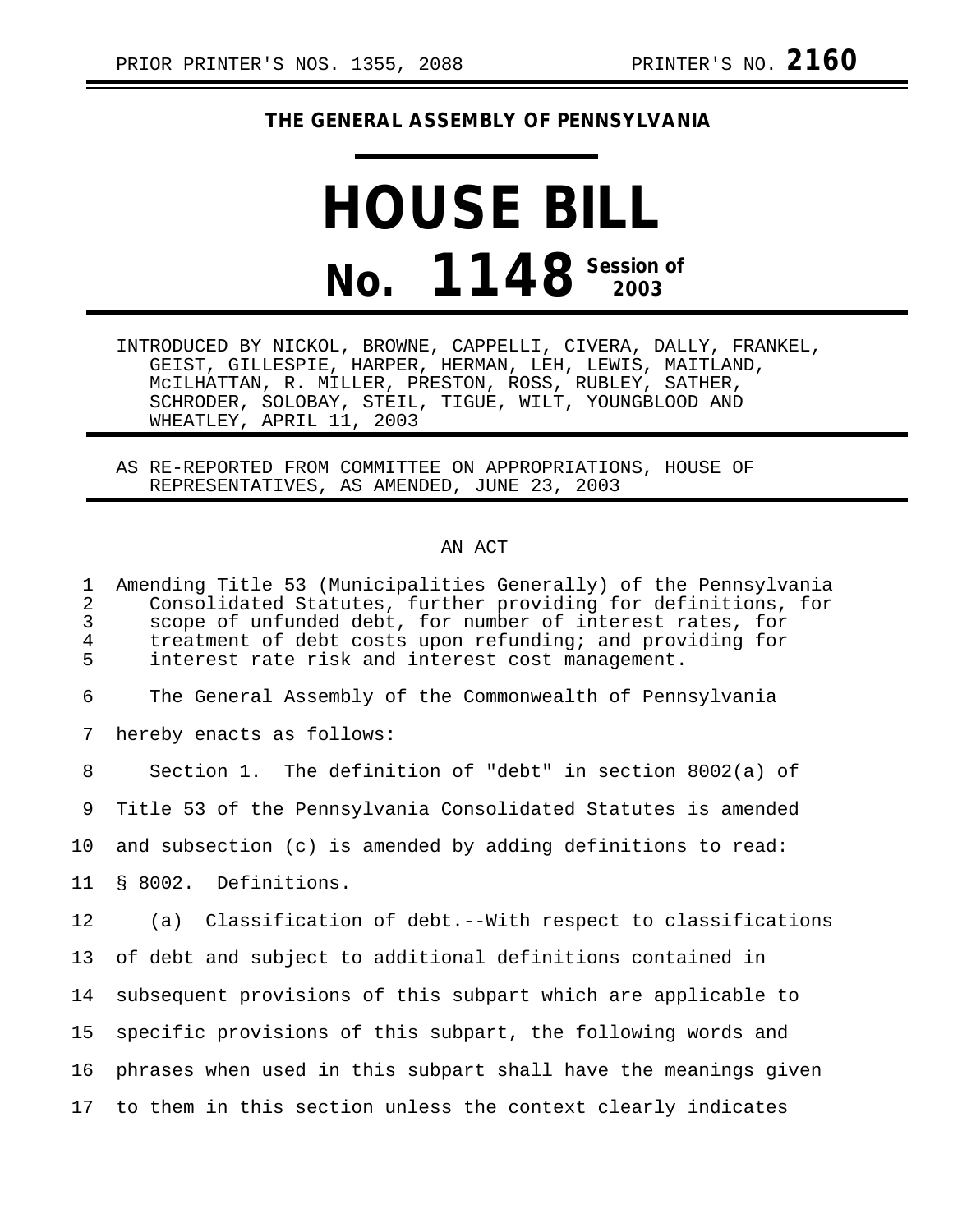## **THE GENERAL ASSEMBLY OF PENNSYLVANIA**

## **HOUSE BILL No. 1148 Session of 2003**

INTRODUCED BY NICKOL, BROWNE, CAPPELLI, CIVERA, DALLY, FRANKEL, GEIST, GILLESPIE, HARPER, HERMAN, LEH, LEWIS, MAITLAND, McILHATTAN, R. MILLER, PRESTON, ROSS, RUBLEY, SATHER, SCHRODER, SOLOBAY, STEIL, TIGUE, WILT, YOUNGBLOOD AND WHEATLEY, APRIL 11, 2003

AS RE-REPORTED FROM COMMITTEE ON APPROPRIATIONS, HOUSE OF REPRESENTATIVES, AS AMENDED, JUNE 23, 2003

## AN ACT

1 Amending Title 53 (Municipalities Generally) of the Pennsylvania 2 Consolidated Statutes, further providing for definitions, for<br>3 scope of unfunded debt, for number of interest rates, for 3 scope of unfunded debt, for number of interest rates, for 4 treatment of debt costs upon refunding; and providing for<br>5 interest rate risk and interest cost management. interest rate risk and interest cost management. 6 The General Assembly of the Commonwealth of Pennsylvania 7 hereby enacts as follows: 8 Section 1. The definition of "debt" in section 8002(a) of 9 Title 53 of the Pennsylvania Consolidated Statutes is amended 10 and subsection (c) is amended by adding definitions to read: 11 § 8002. Definitions. 12 (a) Classification of debt.--With respect to classifications 13 of debt and subject to additional definitions contained in 14 subsequent provisions of this subpart which are applicable to 15 specific provisions of this subpart, the following words and 16 phrases when used in this subpart shall have the meanings given 17 to them in this section unless the context clearly indicates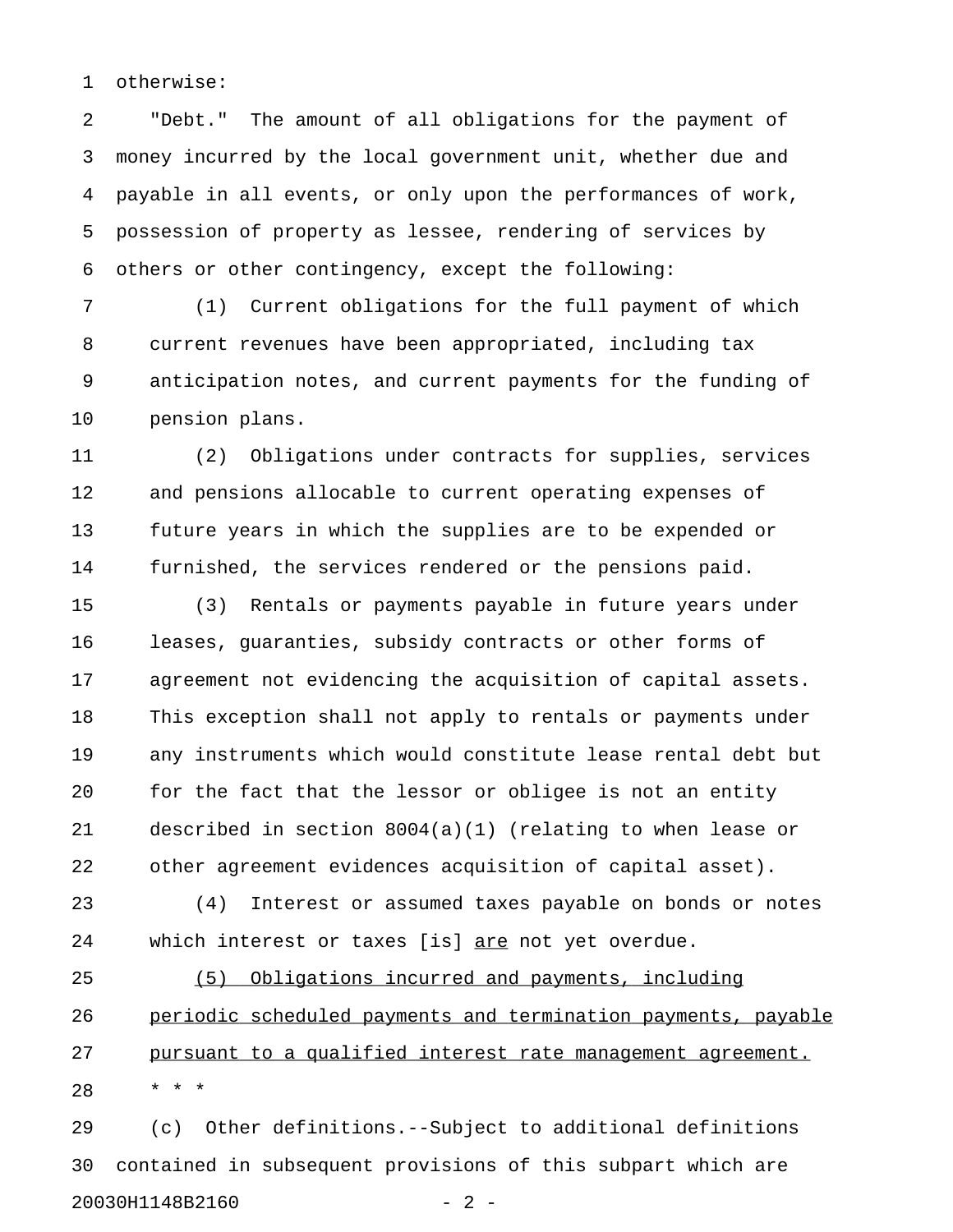1 otherwise:

2 "Debt." The amount of all obligations for the payment of 3 money incurred by the local government unit, whether due and 4 payable in all events, or only upon the performances of work, 5 possession of property as lessee, rendering of services by 6 others or other contingency, except the following:

7 (1) Current obligations for the full payment of which 8 current revenues have been appropriated, including tax 9 anticipation notes, and current payments for the funding of 10 pension plans.

11 (2) Obligations under contracts for supplies, services 12 and pensions allocable to current operating expenses of 13 future years in which the supplies are to be expended or 14 furnished, the services rendered or the pensions paid.

15 (3) Rentals or payments payable in future years under 16 leases, guaranties, subsidy contracts or other forms of 17 agreement not evidencing the acquisition of capital assets. 18 This exception shall not apply to rentals or payments under 19 any instruments which would constitute lease rental debt but 20 for the fact that the lessor or obligee is not an entity 21 described in section 8004(a)(1) (relating to when lease or 22 other agreement evidences acquisition of capital asset).

23 (4) Interest or assumed taxes payable on bonds or notes 24 which interest or taxes [is] are not yet overdue.

25 (5) Obligations incurred and payments, including 26 periodic scheduled payments and termination payments, payable 27 pursuant to a qualified interest rate management agreement. 28 \* \* \*

29 (c) Other definitions.--Subject to additional definitions 30 contained in subsequent provisions of this subpart which are 20030H1148B2160 - 2 -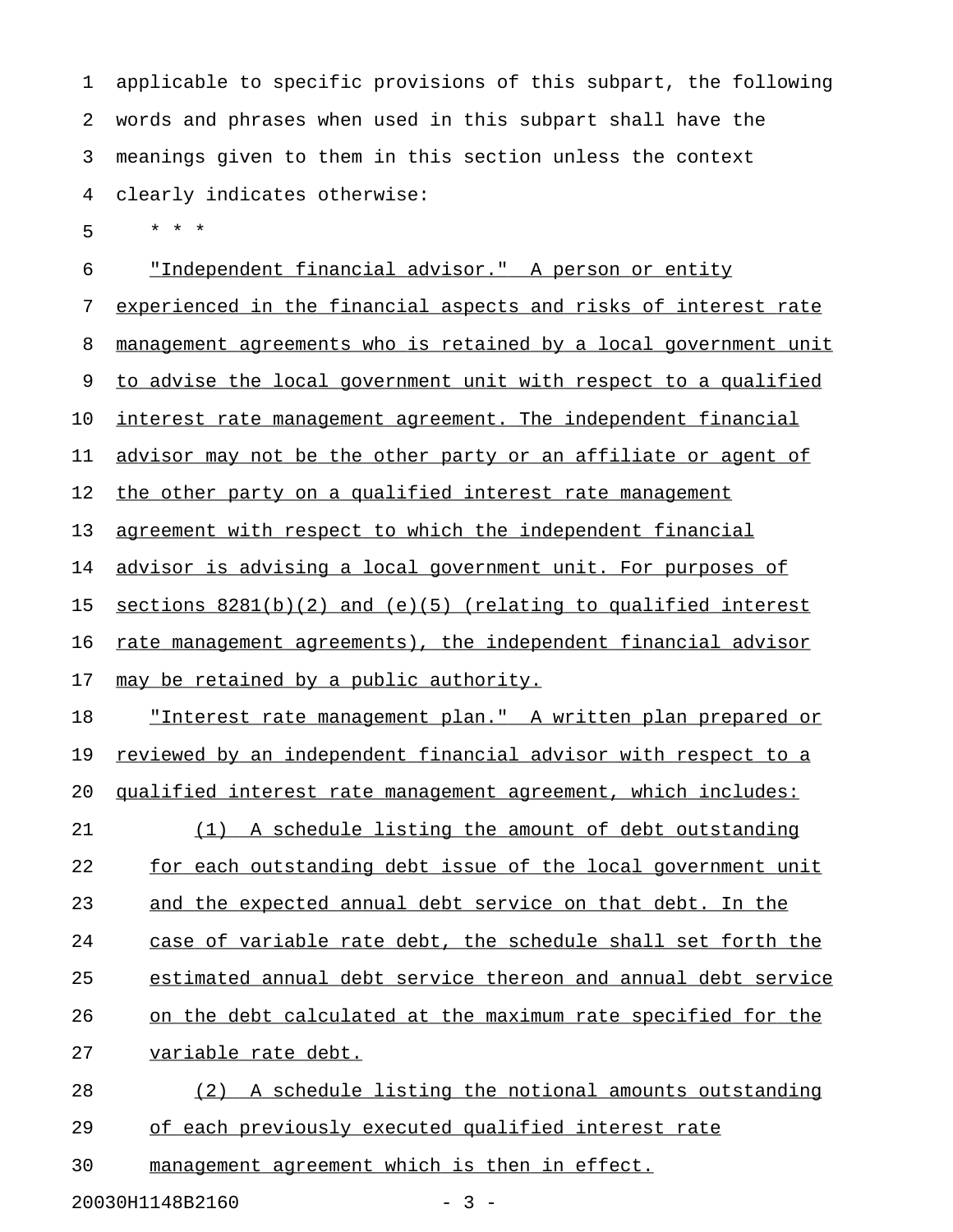1 applicable to specific provisions of this subpart, the following 2 words and phrases when used in this subpart shall have the 3 meanings given to them in this section unless the context 4 clearly indicates otherwise:

5 \* \* \*

6 "Independent financial advisor." A person or entity 7 experienced in the financial aspects and risks of interest rate 8 management agreements who is retained by a local government unit 9 to advise the local government unit with respect to a qualified 10 interest rate management agreement. The independent financial 11 advisor may not be the other party or an affiliate or agent of 12 the other party on a qualified interest rate management 13 agreement with respect to which the independent financial 14 advisor is advising a local government unit. For purposes of 15 sections  $8281(b)(2)$  and  $(e)(5)$  (relating to qualified interest 16 rate management agreements), the independent financial advisor 17 may be retained by a public authority. 18 "Interest rate management plan." A written plan prepared or 19 reviewed by an independent financial advisor with respect to a 20 qualified interest rate management agreement, which includes: 21 (1) A schedule listing the amount of debt outstanding 22 for each outstanding debt issue of the local government unit 23 and the expected annual debt service on that debt. In the 24 case of variable rate debt, the schedule shall set forth the 25 estimated annual debt service thereon and annual debt service 26 on the debt calculated at the maximum rate specified for the 27 variable rate debt. 28 (2) A schedule listing the notional amounts outstanding 29 of each previously executed qualified interest rate

30 management agreement which is then in effect.

20030H1148B2160 - 3 -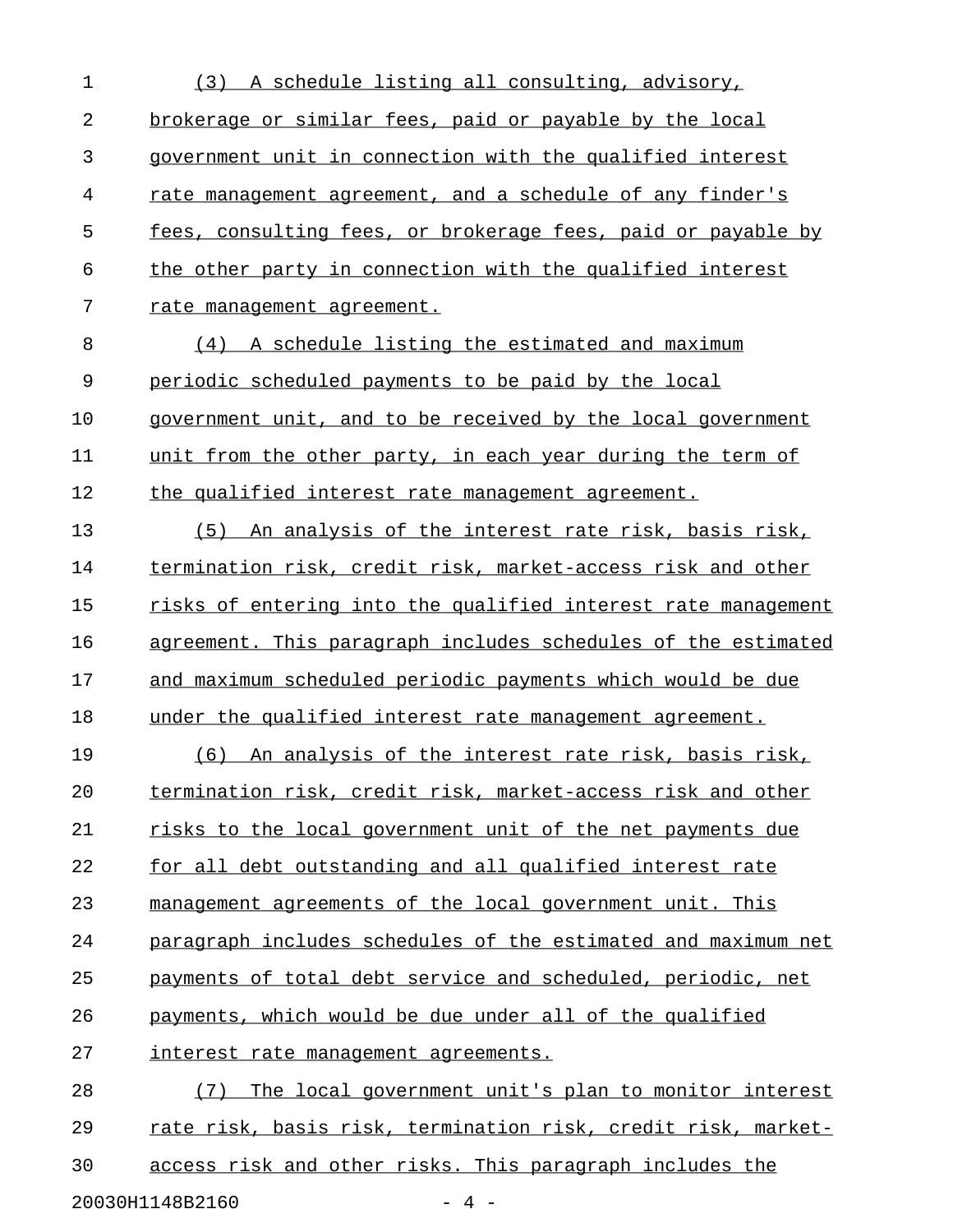| 1              | (3) A schedule listing all consulting, advisory,              |
|----------------|---------------------------------------------------------------|
| $\overline{2}$ | brokerage or similar fees, paid or payable by the local       |
| 3              | government unit in connection with the qualified interest     |
| 4              | rate management agreement, and a schedule of any finder's     |
| 5              | fees, consulting fees, or brokerage fees, paid or payable by  |
| 6              | the other party in connection with the qualified interest     |
| 7              | rate management agreement.                                    |
| 8              | (4) A schedule listing the estimated and maximum              |
| 9              | periodic scheduled payments to be paid by the local           |
| 10             | government unit, and to be received by the local government   |
| 11             | unit from the other party, in each year during the term of    |
| 12             | the qualified interest rate management agreement.             |
| 13             | (5) An analysis of the interest rate risk, basis risk,        |
| 14             | termination risk, credit risk, market-access risk and other   |
| 15             | risks of entering into the qualified interest rate management |
| 16             | agreement. This paragraph includes schedules of the estimated |
| 17             | and maximum scheduled periodic payments which would be due    |
| 18             | under the qualified interest rate management agreement.       |
| 19             | (6) An analysis of the interest rate risk, basis risk,        |
| 20             | termination risk, credit risk, market-access risk and other   |
| 21             | risks to the local government unit of the net payments due    |
| 22             | for all debt outstanding and all qualified interest rate      |
| 23             | management agreements of the local government unit. This      |
| 24             | paragraph includes schedules of the estimated and maximum net |
| 25             | payments of total debt service and scheduled, periodic, net   |
| 26             | payments, which would be due under all of the qualified       |
| 27             | <u>interest rate management agreements.</u>                   |
| 28             | The local government unit's plan to monitor interest<br>(7)   |
| 29             | rate risk, basis risk, termination risk, credit risk, market- |
| 30             | access risk and other risks. This paragraph includes the      |
|                |                                                               |

20030H1148B2160 - 4 -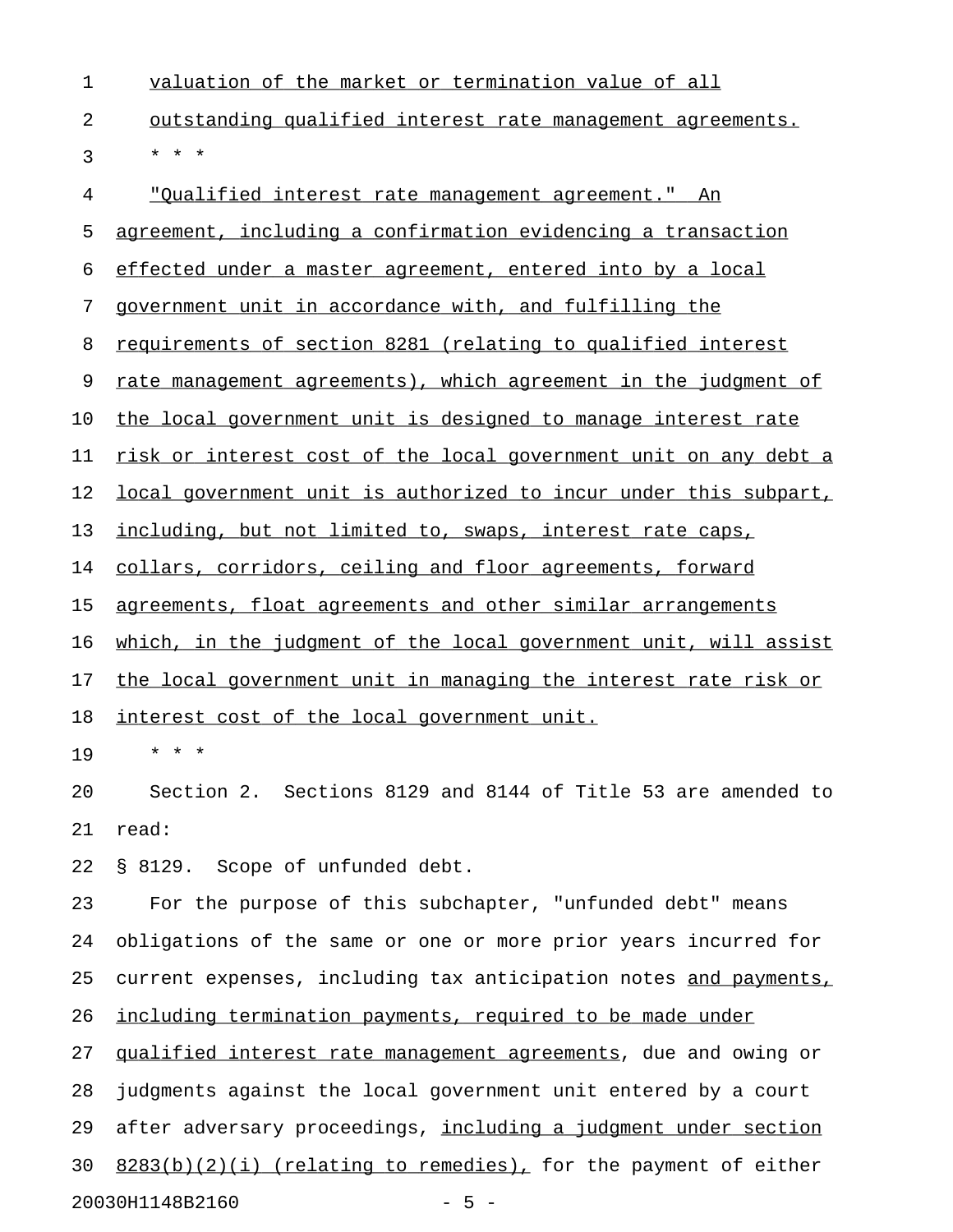| 1  | valuation of the market or termination value of all               |
|----|-------------------------------------------------------------------|
| 2  | <u>outstanding qualified interest rate management agreements.</u> |
| 3  | * * *                                                             |
| 4  | <u> "Qualified interest rate management agreement." An</u>        |
| 5  | agreement, including a confirmation evidencing a transaction      |
| 6  | effected under a master agreement, entered into by a local        |
| 7  | government unit in accordance with, and fulfilling the            |
| 8  | requirements of section 8281 (relating to qualified interest      |
| 9  | rate management agreements), which agreement in the judgment of   |
| 10 | the local government unit is designed to manage interest rate     |
| 11 | risk or interest cost of the local government unit on any debt a  |
| 12 | local government unit is authorized to incur under this subpart,  |
| 13 | including, but not limited to, swaps, interest rate caps,         |
| 14 | collars, corridors, ceiling and floor agreements, forward         |
| 15 | agreements, float agreements and other similar arrangements       |
| 16 | which, in the judgment of the local government unit, will assist  |
| 17 | the local government unit in managing the interest rate risk or   |
| 18 | interest cost of the local government unit.                       |
| 19 | * * *                                                             |
| 20 | Section 2. Sections 8129 and 8144 of Title 53 are amended to      |
| 21 | read:                                                             |
| 22 | § 8129. Scope of unfunded debt.                                   |
| 23 | For the purpose of this subchapter, "unfunded debt" means         |
| 24 | obligations of the same or one or more prior years incurred for   |
| 25 | current expenses, including tax anticipation notes and payments,  |
| 26 | including termination payments, required to be made under         |
| 27 | qualified interest rate management agreements, due and owing or   |
| 28 | judgments against the local government unit entered by a court    |
| 29 | after adversary proceedings, including a judgment under section   |
| 30 | $8283(b)(2)(i)$ (relating to remedies), for the payment of either |

20030H1148B2160 - 5 -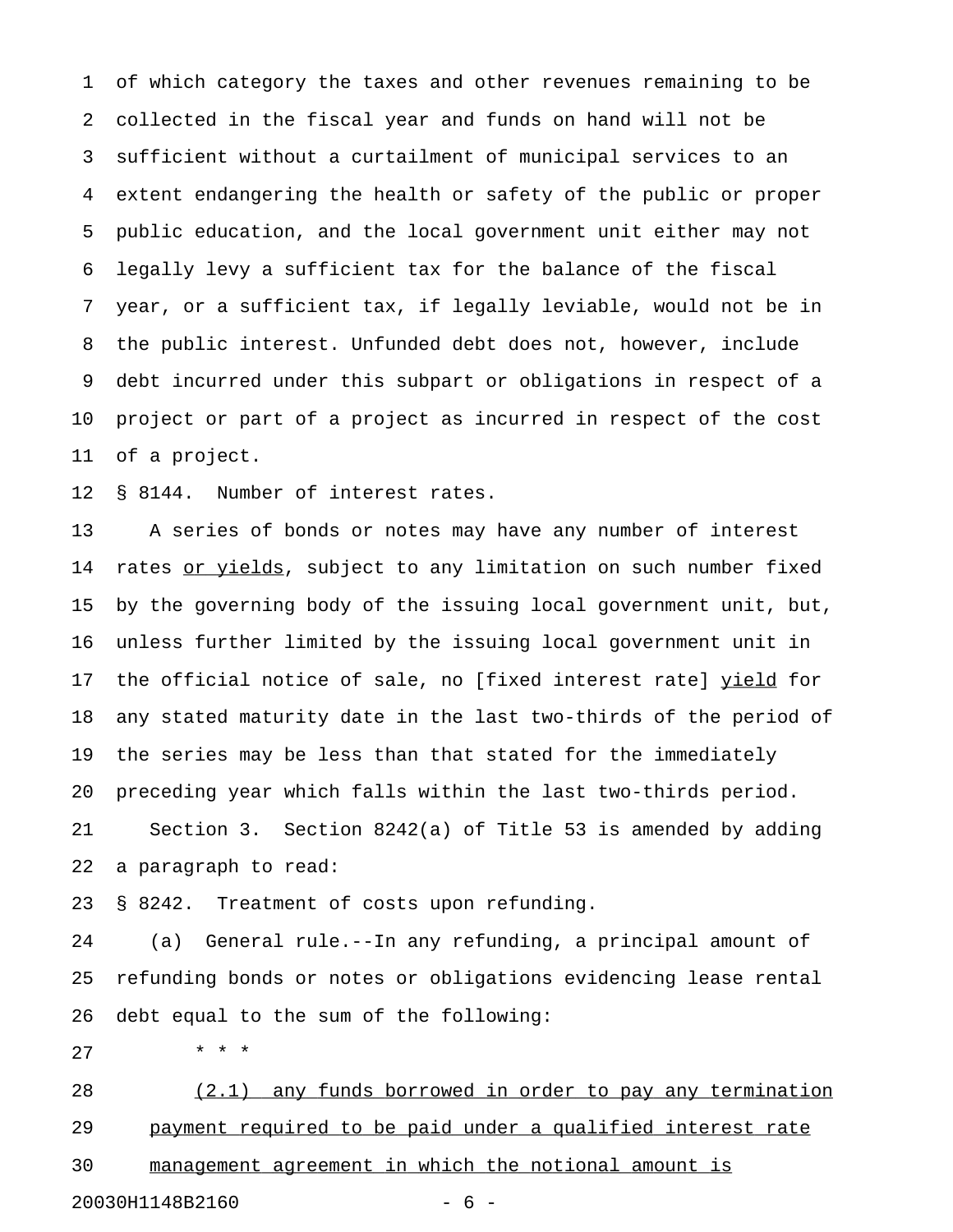1 of which category the taxes and other revenues remaining to be 2 collected in the fiscal year and funds on hand will not be 3 sufficient without a curtailment of municipal services to an 4 extent endangering the health or safety of the public or proper 5 public education, and the local government unit either may not 6 legally levy a sufficient tax for the balance of the fiscal 7 year, or a sufficient tax, if legally leviable, would not be in 8 the public interest. Unfunded debt does not, however, include 9 debt incurred under this subpart or obligations in respect of a 10 project or part of a project as incurred in respect of the cost 11 of a project.

12 § 8144. Number of interest rates.

13 A series of bonds or notes may have any number of interest 14 rates or yields, subject to any limitation on such number fixed 15 by the governing body of the issuing local government unit, but, 16 unless further limited by the issuing local government unit in 17 the official notice of sale, no [fixed interest rate] yield for 18 any stated maturity date in the last two-thirds of the period of 19 the series may be less than that stated for the immediately 20 preceding year which falls within the last two-thirds period. 21 Section 3. Section 8242(a) of Title 53 is amended by adding 22 a paragraph to read:

23 § 8242. Treatment of costs upon refunding.

24 (a) General rule.--In any refunding, a principal amount of 25 refunding bonds or notes or obligations evidencing lease rental 26 debt equal to the sum of the following:

27 \* \* \*

28 (2.1) any funds borrowed in order to pay any termination 29 payment required to be paid under a qualified interest rate 30 management agreement in which the notional amount is

20030H1148B2160 - 6 -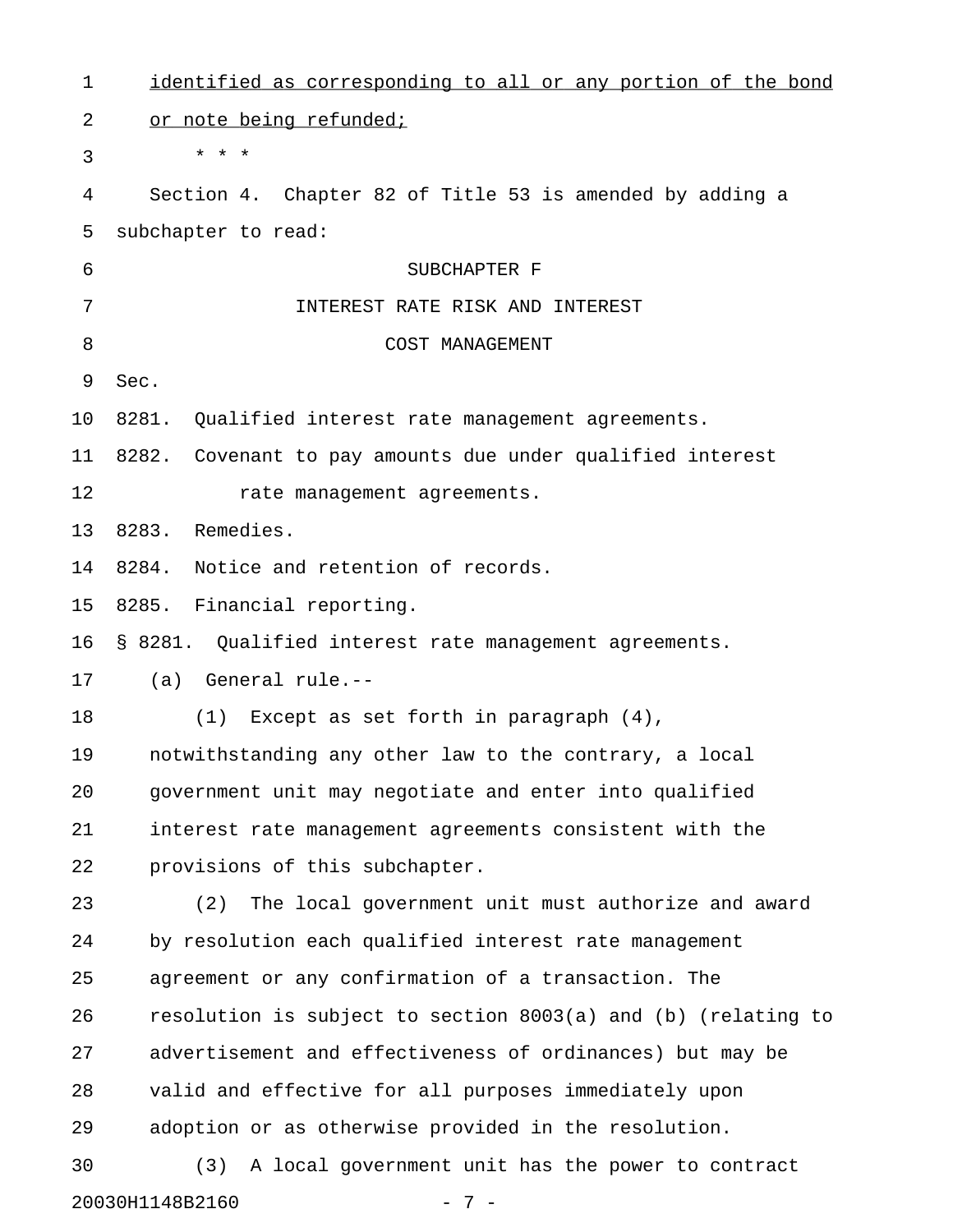| 1  | identified as corresponding to all or any portion of the bond |
|----|---------------------------------------------------------------|
| 2  | or note being refunded;                                       |
| 3  | $\star$ $\star$ $\star$                                       |
| 4  | Section 4. Chapter 82 of Title 53 is amended by adding a      |
| 5  | subchapter to read:                                           |
| 6  | SUBCHAPTER F                                                  |
| 7  | INTEREST RATE RISK AND INTEREST                               |
| 8  | COST MANAGEMENT                                               |
| 9  | Sec.                                                          |
| 10 | 8281.<br>Qualified interest rate management agreements.       |
| 11 | 8282. Covenant to pay amounts due under qualified interest    |
| 12 | rate management agreements.                                   |
| 13 | Remedies.<br>8283.                                            |
| 14 | Notice and retention of records.<br>8284.                     |
| 15 | 8285.<br>Financial reporting.                                 |
| 16 | § 8281. Qualified interest rate management agreements.        |
| 17 | General rule.--<br>(a)                                        |
| 18 | Except as set forth in paragraph $(4)$ ,<br>(1)               |
| 19 | notwithstanding any other law to the contrary, a local        |
| 20 | government unit may negotiate and enter into qualified        |
| 21 | interest rate management agreements consistent with the       |
| 22 | provisions of this subchapter.                                |
| 23 | The local government unit must authorize and award<br>(2)     |
| 24 | by resolution each qualified interest rate management         |
| 25 | agreement or any confirmation of a transaction. The           |
| 26 | resolution is subject to section 8003(a) and (b) (relating to |
| 27 | advertisement and effectiveness of ordinances) but may be     |
| 28 | valid and effective for all purposes immediately upon         |
| 29 | adoption or as otherwise provided in the resolution.          |
| 30 | (3)<br>A local government unit has the power to contract      |
|    | 20030H1148B2160<br>$-7-$                                      |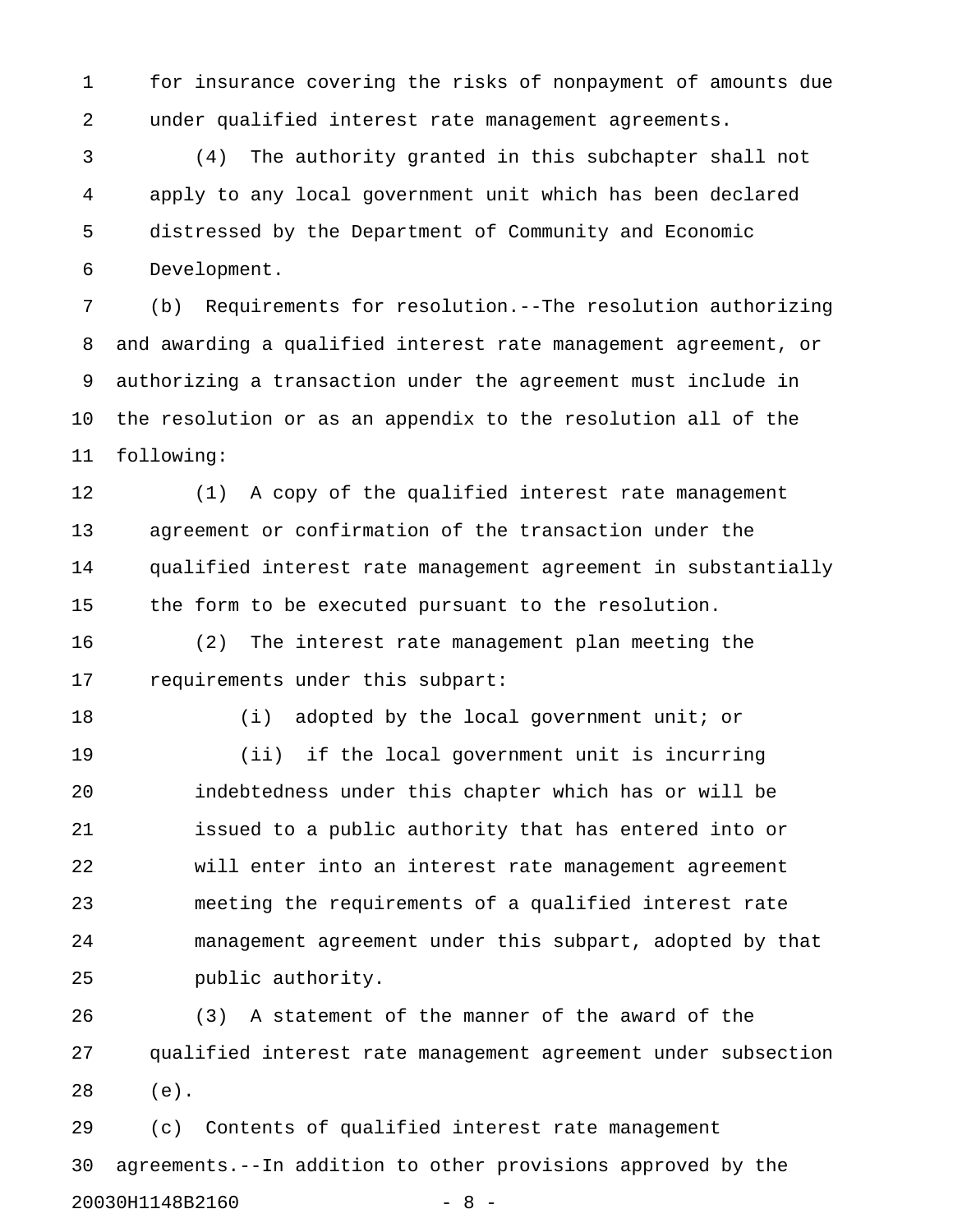1 for insurance covering the risks of nonpayment of amounts due 2 under qualified interest rate management agreements.

3 (4) The authority granted in this subchapter shall not 4 apply to any local government unit which has been declared 5 distressed by the Department of Community and Economic 6 Development.

7 (b) Requirements for resolution.--The resolution authorizing 8 and awarding a qualified interest rate management agreement, or 9 authorizing a transaction under the agreement must include in 10 the resolution or as an appendix to the resolution all of the 11 following:

12 (1) A copy of the qualified interest rate management 13 agreement or confirmation of the transaction under the 14 qualified interest rate management agreement in substantially 15 the form to be executed pursuant to the resolution.

16 (2) The interest rate management plan meeting the 17 requirements under this subpart:

18 (i) adopted by the local government unit; or

19 (ii) if the local government unit is incurring 20 indebtedness under this chapter which has or will be 21 issued to a public authority that has entered into or 22 will enter into an interest rate management agreement 23 meeting the requirements of a qualified interest rate 24 management agreement under this subpart, adopted by that 25 public authority.

26 (3) A statement of the manner of the award of the 27 qualified interest rate management agreement under subsection 28 (e).

29 (c) Contents of qualified interest rate management 30 agreements.--In addition to other provisions approved by the 20030H1148B2160 - 8 -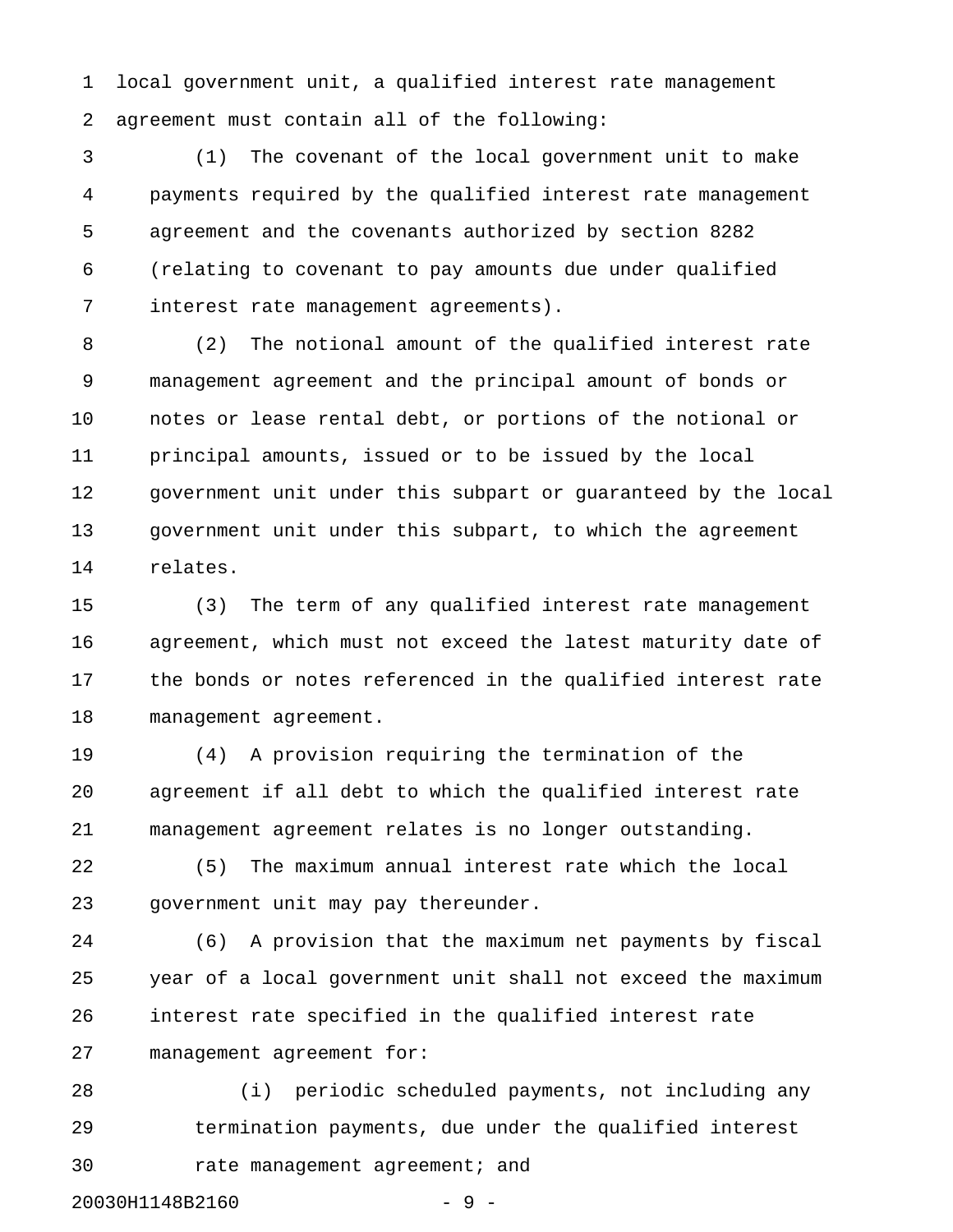1 local government unit, a qualified interest rate management 2 agreement must contain all of the following:

3 (1) The covenant of the local government unit to make 4 payments required by the qualified interest rate management 5 agreement and the covenants authorized by section 8282 6 (relating to covenant to pay amounts due under qualified 7 interest rate management agreements).

8 (2) The notional amount of the qualified interest rate 9 management agreement and the principal amount of bonds or 10 notes or lease rental debt, or portions of the notional or 11 principal amounts, issued or to be issued by the local 12 government unit under this subpart or guaranteed by the local 13 government unit under this subpart, to which the agreement 14 relates.

15 (3) The term of any qualified interest rate management 16 agreement, which must not exceed the latest maturity date of 17 the bonds or notes referenced in the qualified interest rate 18 management agreement.

19 (4) A provision requiring the termination of the 20 agreement if all debt to which the qualified interest rate 21 management agreement relates is no longer outstanding.

22 (5) The maximum annual interest rate which the local 23 government unit may pay thereunder.

24 (6) A provision that the maximum net payments by fiscal 25 year of a local government unit shall not exceed the maximum 26 interest rate specified in the qualified interest rate 27 management agreement for:

28 (i) periodic scheduled payments, not including any 29 termination payments, due under the qualified interest 30 rate management agreement; and 20030H1148B2160 - 9 -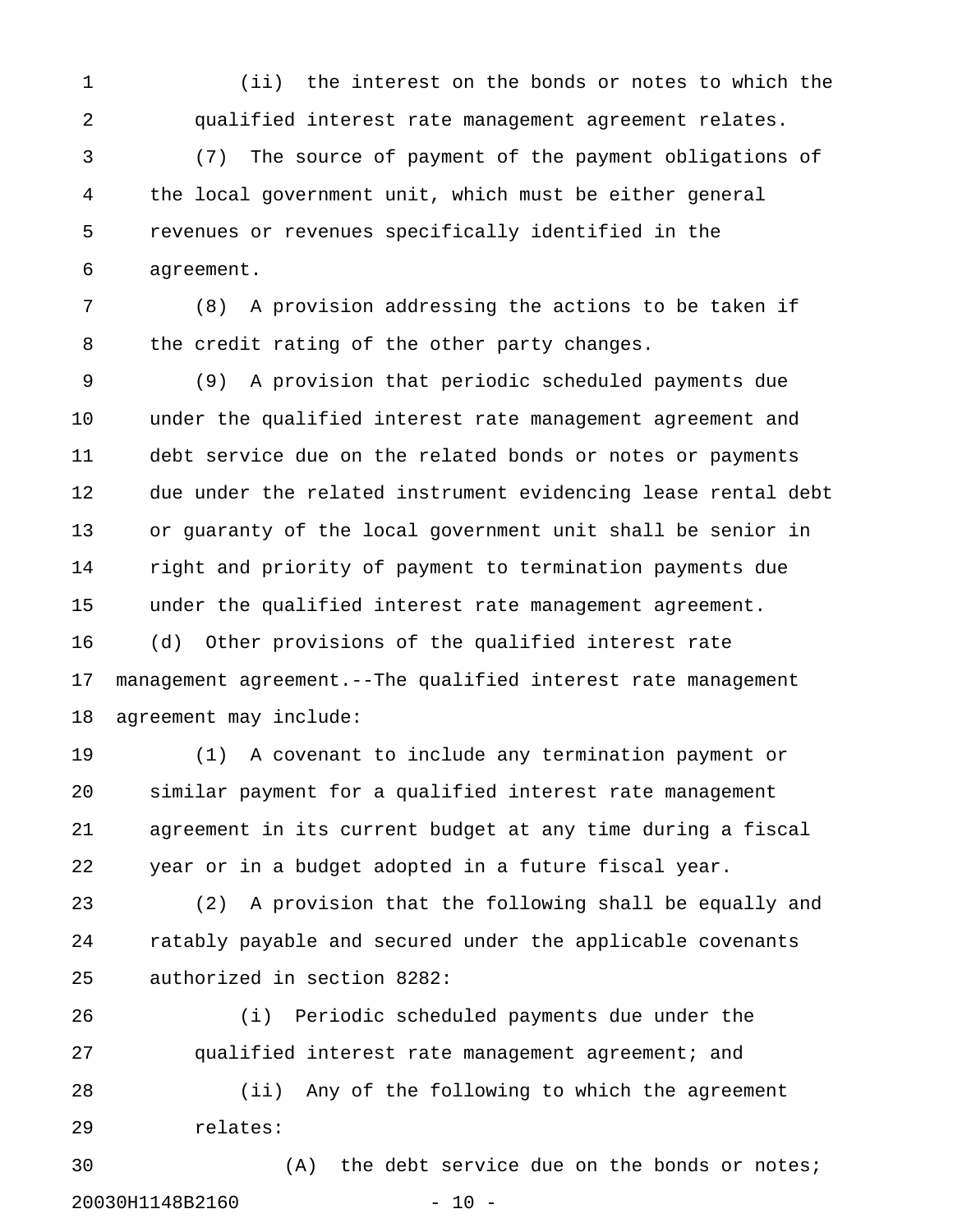1 (ii) the interest on the bonds or notes to which the 2 qualified interest rate management agreement relates.

3 (7) The source of payment of the payment obligations of 4 the local government unit, which must be either general 5 revenues or revenues specifically identified in the 6 agreement.

7 (8) A provision addressing the actions to be taken if 8 the credit rating of the other party changes.

9 (9) A provision that periodic scheduled payments due 10 under the qualified interest rate management agreement and 11 debt service due on the related bonds or notes or payments 12 due under the related instrument evidencing lease rental debt 13 or guaranty of the local government unit shall be senior in 14 right and priority of payment to termination payments due 15 under the qualified interest rate management agreement. 16 (d) Other provisions of the qualified interest rate 17 management agreement.--The qualified interest rate management 18 agreement may include:

19 (1) A covenant to include any termination payment or 20 similar payment for a qualified interest rate management 21 agreement in its current budget at any time during a fiscal 22 year or in a budget adopted in a future fiscal year.

23 (2) A provision that the following shall be equally and 24 ratably payable and secured under the applicable covenants 25 authorized in section 8282:

26 (i) Periodic scheduled payments due under the 27 qualified interest rate management agreement; and 28 (ii) Any of the following to which the agreement 29 relates:

30 (A) the debt service due on the bonds or notes; 20030H1148B2160 - 10 -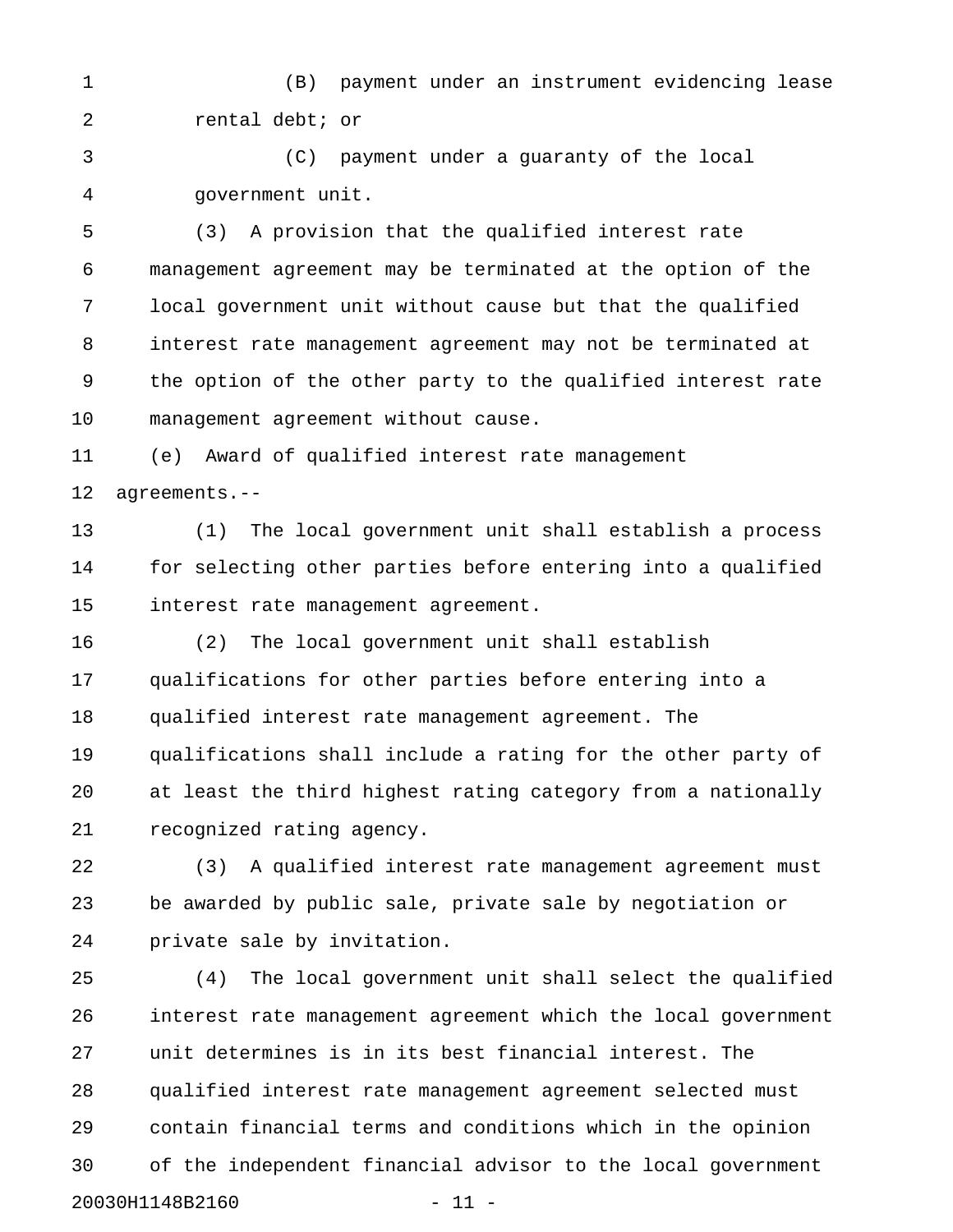1 (B) payment under an instrument evidencing lease 2 rental debt; or

3 (C) payment under a guaranty of the local 4 government unit.

5 (3) A provision that the qualified interest rate 6 management agreement may be terminated at the option of the 7 local government unit without cause but that the qualified 8 interest rate management agreement may not be terminated at 9 the option of the other party to the qualified interest rate 10 management agreement without cause.

11 (e) Award of qualified interest rate management 12 agreements.--

13 (1) The local government unit shall establish a process 14 for selecting other parties before entering into a qualified 15 interest rate management agreement.

16 (2) The local government unit shall establish 17 qualifications for other parties before entering into a 18 qualified interest rate management agreement. The 19 qualifications shall include a rating for the other party of 20 at least the third highest rating category from a nationally 21 recognized rating agency.

22 (3) A qualified interest rate management agreement must 23 be awarded by public sale, private sale by negotiation or 24 private sale by invitation.

25 (4) The local government unit shall select the qualified 26 interest rate management agreement which the local government 27 unit determines is in its best financial interest. The 28 qualified interest rate management agreement selected must 29 contain financial terms and conditions which in the opinion 30 of the independent financial advisor to the local government 20030H1148B2160 - 11 -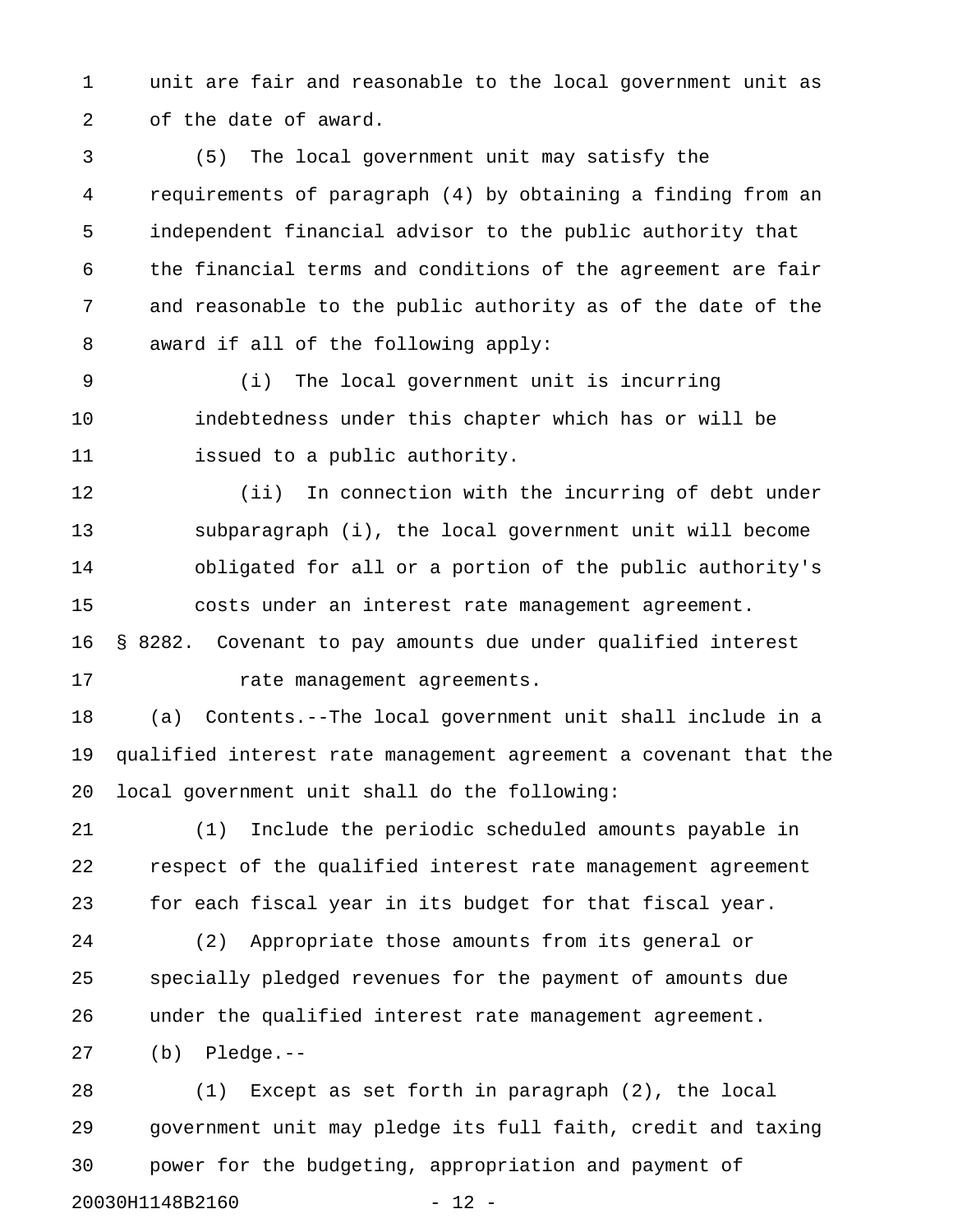1 unit are fair and reasonable to the local government unit as 2 of the date of award.

3 (5) The local government unit may satisfy the 4 requirements of paragraph (4) by obtaining a finding from an 5 independent financial advisor to the public authority that 6 the financial terms and conditions of the agreement are fair 7 and reasonable to the public authority as of the date of the 8 award if all of the following apply:

9 (i) The local government unit is incurring 10 indebtedness under this chapter which has or will be 11 issued to a public authority.

12 (ii) In connection with the incurring of debt under 13 subparagraph (i), the local government unit will become 14 obligated for all or a portion of the public authority's 15 costs under an interest rate management agreement. 16 § 8282. Covenant to pay amounts due under qualified interest

17 rate management agreements.

18 (a) Contents.--The local government unit shall include in a 19 qualified interest rate management agreement a covenant that the 20 local government unit shall do the following:

21 (1) Include the periodic scheduled amounts payable in 22 respect of the qualified interest rate management agreement 23 for each fiscal year in its budget for that fiscal year.

24 (2) Appropriate those amounts from its general or 25 specially pledged revenues for the payment of amounts due 26 under the qualified interest rate management agreement.

27 (b) Pledge.--

28 (1) Except as set forth in paragraph (2), the local 29 government unit may pledge its full faith, credit and taxing 30 power for the budgeting, appropriation and payment of 20030H1148B2160 - 12 -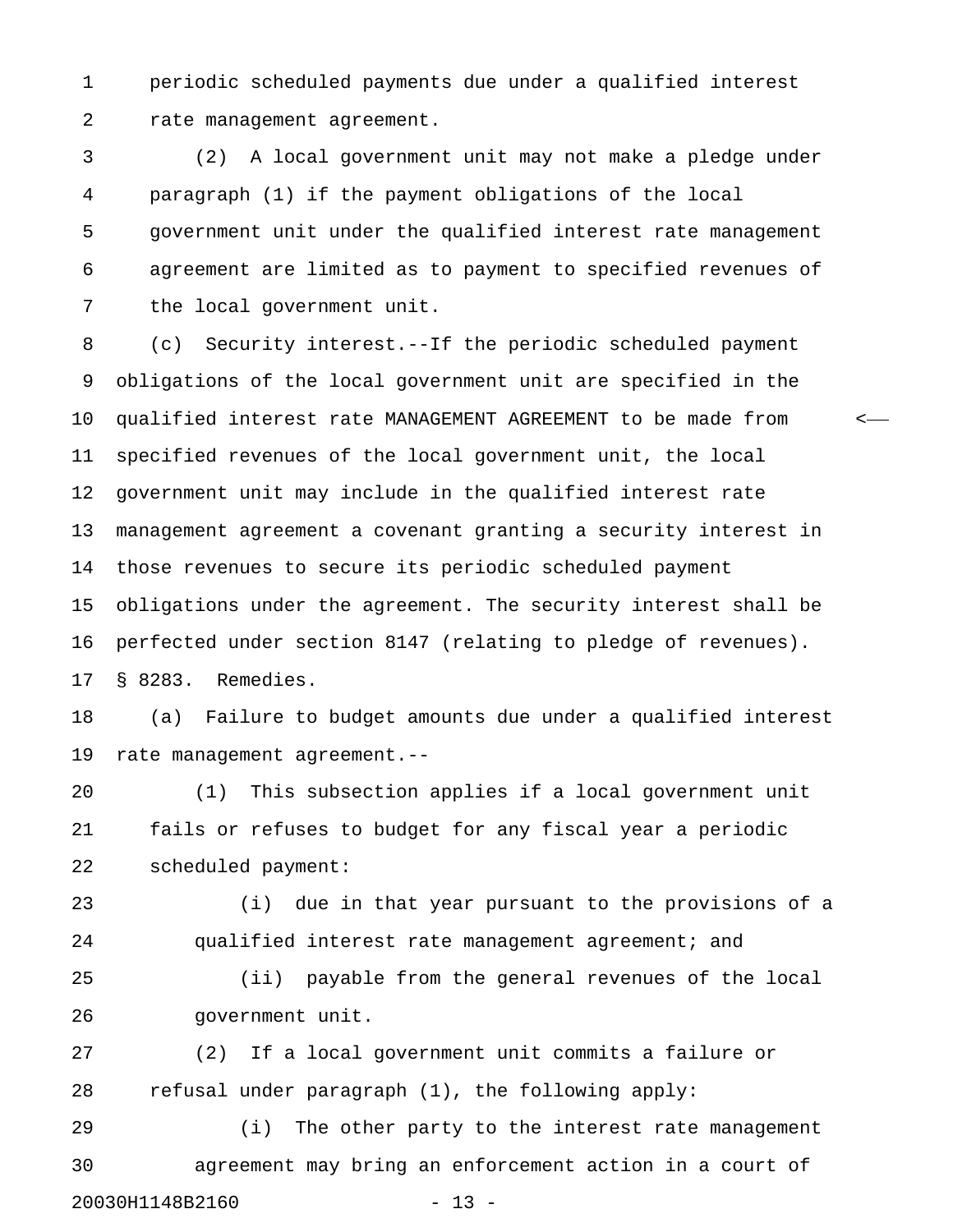1 periodic scheduled payments due under a qualified interest 2 rate management agreement.

3 (2) A local government unit may not make a pledge under 4 paragraph (1) if the payment obligations of the local 5 government unit under the qualified interest rate management 6 agreement are limited as to payment to specified revenues of 7 the local government unit.

8 (c) Security interest.--If the periodic scheduled payment 9 obligations of the local government unit are specified in the 10 qualified interest rate MANAGEMENT AGREEMENT to be made from < 11 specified revenues of the local government unit, the local 12 government unit may include in the qualified interest rate 13 management agreement a covenant granting a security interest in 14 those revenues to secure its periodic scheduled payment 15 obligations under the agreement. The security interest shall be 16 perfected under section 8147 (relating to pledge of revenues). 17 § 8283. Remedies.

18 (a) Failure to budget amounts due under a qualified interest 19 rate management agreement.--

20 (1) This subsection applies if a local government unit 21 fails or refuses to budget for any fiscal year a periodic 22 scheduled payment:

23 (i) due in that year pursuant to the provisions of a 24 qualified interest rate management agreement; and

25 (ii) payable from the general revenues of the local 26 government unit.

27 (2) If a local government unit commits a failure or 28 refusal under paragraph (1), the following apply:

29 (i) The other party to the interest rate management 30 agreement may bring an enforcement action in a court of 20030H1148B2160 - 13 -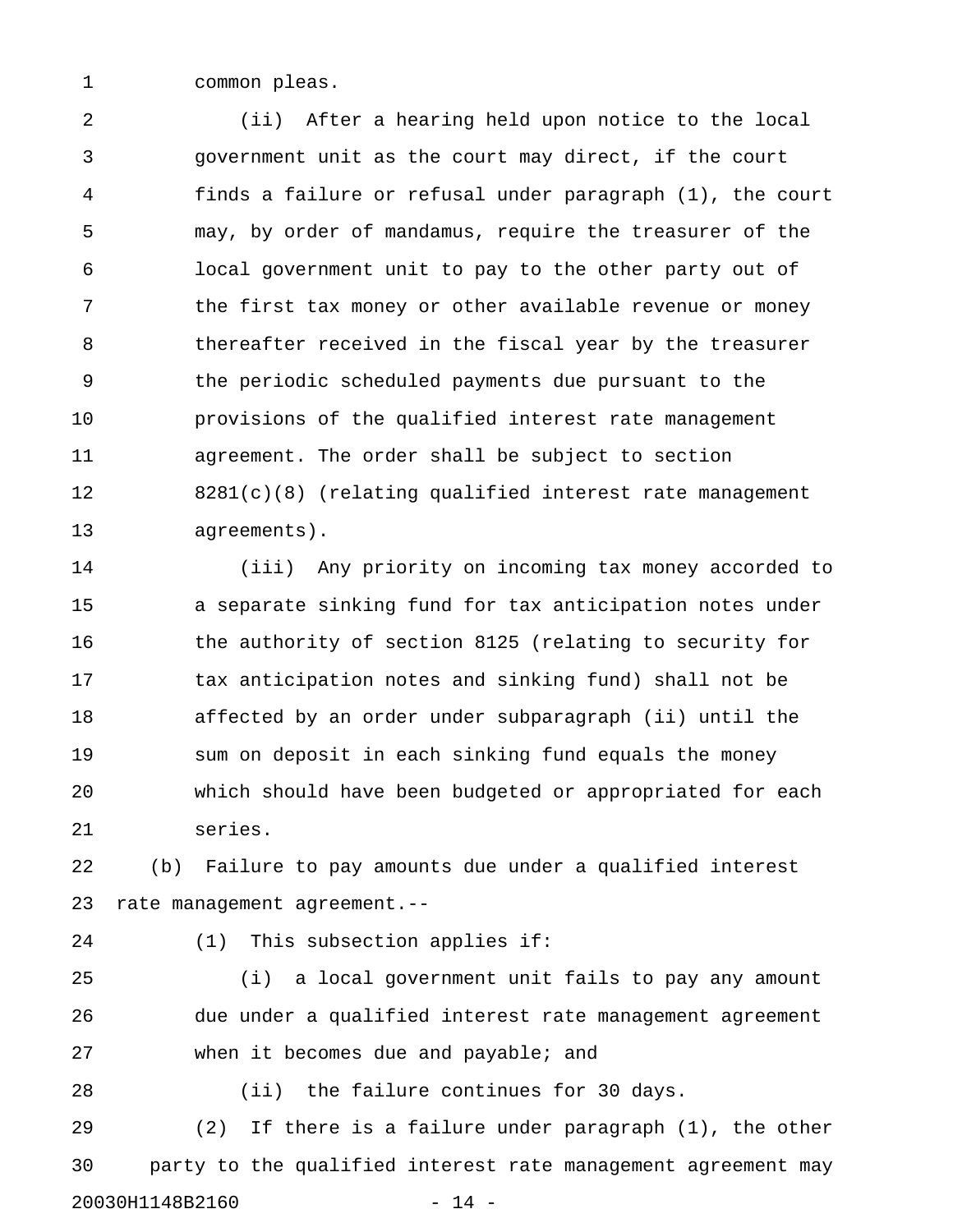1 common pleas.

2 (ii) After a hearing held upon notice to the local 3 government unit as the court may direct, if the court 4 finds a failure or refusal under paragraph (1), the court 5 may, by order of mandamus, require the treasurer of the 6 local government unit to pay to the other party out of 7 the first tax money or other available revenue or money 8 thereafter received in the fiscal year by the treasurer 9 the periodic scheduled payments due pursuant to the 10 provisions of the qualified interest rate management 11 agreement. The order shall be subject to section 12 8281(c)(8) (relating qualified interest rate management 13 agreements).

14 (iii) Any priority on incoming tax money accorded to 15 a separate sinking fund for tax anticipation notes under 16 the authority of section 8125 (relating to security for 17 tax anticipation notes and sinking fund) shall not be 18 affected by an order under subparagraph (ii) until the 19 sum on deposit in each sinking fund equals the money 20 which should have been budgeted or appropriated for each 21 series.

22 (b) Failure to pay amounts due under a qualified interest 23 rate management agreement.--

24 (1) This subsection applies if:

25 (i) a local government unit fails to pay any amount 26 due under a qualified interest rate management agreement 27 when it becomes due and payable; and

28 (ii) the failure continues for 30 days.

29 (2) If there is a failure under paragraph (1), the other 30 party to the qualified interest rate management agreement may 20030H1148B2160 - 14 -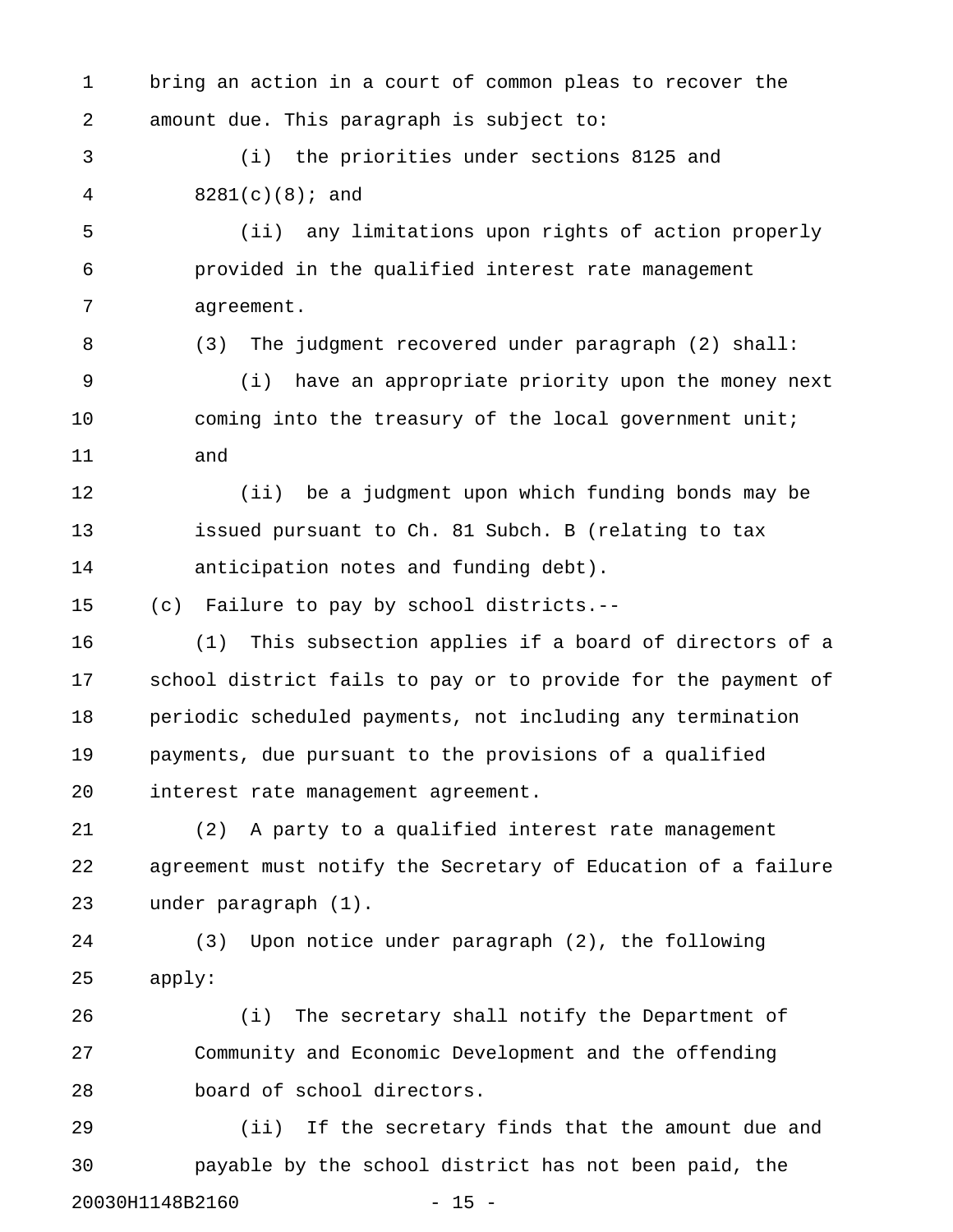1 bring an action in a court of common pleas to recover the 2 amount due. This paragraph is subject to:

3 (i) the priorities under sections 8125 and 4 8281(c)(8); and

5 (ii) any limitations upon rights of action properly 6 provided in the qualified interest rate management 7 agreement.

8 (3) The judgment recovered under paragraph (2) shall:

9 (i) have an appropriate priority upon the money next 10 coming into the treasury of the local government unit; 11 and

12 (ii) be a judgment upon which funding bonds may be 13 issued pursuant to Ch. 81 Subch. B (relating to tax 14 anticipation notes and funding debt).

15 (c) Failure to pay by school districts.--

16 (1) This subsection applies if a board of directors of a 17 school district fails to pay or to provide for the payment of 18 periodic scheduled payments, not including any termination 19 payments, due pursuant to the provisions of a qualified 20 interest rate management agreement.

21 (2) A party to a qualified interest rate management 22 agreement must notify the Secretary of Education of a failure 23 under paragraph (1).

24 (3) Upon notice under paragraph (2), the following 25 apply:

26 (i) The secretary shall notify the Department of 27 Community and Economic Development and the offending 28 board of school directors.

29 (ii) If the secretary finds that the amount due and 30 payable by the school district has not been paid, the 20030H1148B2160 - 15 -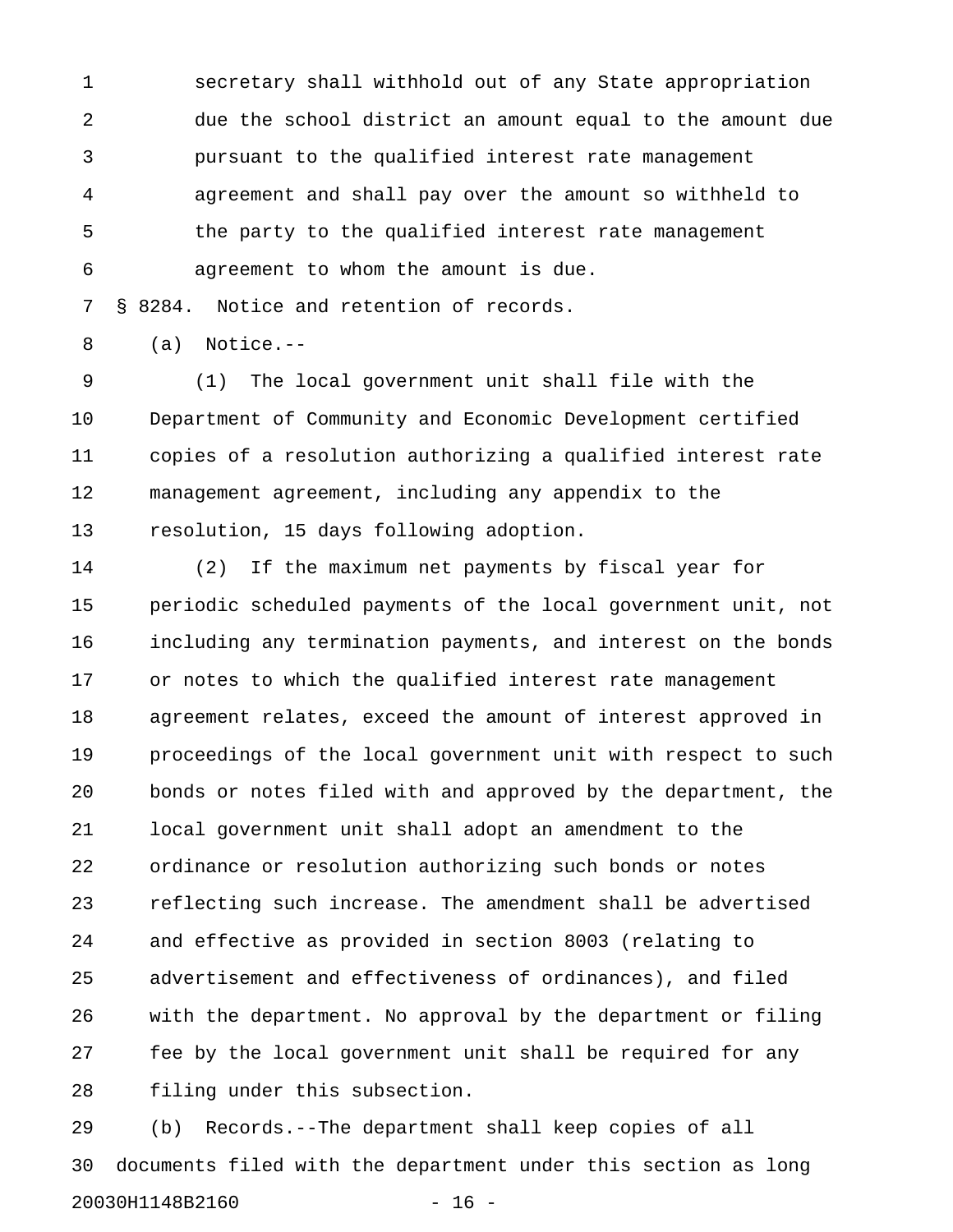1 secretary shall withhold out of any State appropriation 2 due the school district an amount equal to the amount due 3 pursuant to the qualified interest rate management 4 agreement and shall pay over the amount so withheld to 5 the party to the qualified interest rate management 6 agreement to whom the amount is due.

7 § 8284. Notice and retention of records.

8 (a) Notice.--

9 (1) The local government unit shall file with the 10 Department of Community and Economic Development certified 11 copies of a resolution authorizing a qualified interest rate 12 management agreement, including any appendix to the 13 resolution, 15 days following adoption.

14 (2) If the maximum net payments by fiscal year for 15 periodic scheduled payments of the local government unit, not 16 including any termination payments, and interest on the bonds 17 or notes to which the qualified interest rate management 18 agreement relates, exceed the amount of interest approved in 19 proceedings of the local government unit with respect to such 20 bonds or notes filed with and approved by the department, the 21 local government unit shall adopt an amendment to the 22 ordinance or resolution authorizing such bonds or notes 23 reflecting such increase. The amendment shall be advertised 24 and effective as provided in section 8003 (relating to 25 advertisement and effectiveness of ordinances), and filed 26 with the department. No approval by the department or filing 27 fee by the local government unit shall be required for any 28 filing under this subsection.

29 (b) Records.--The department shall keep copies of all 30 documents filed with the department under this section as long 20030H1148B2160 - 16 -